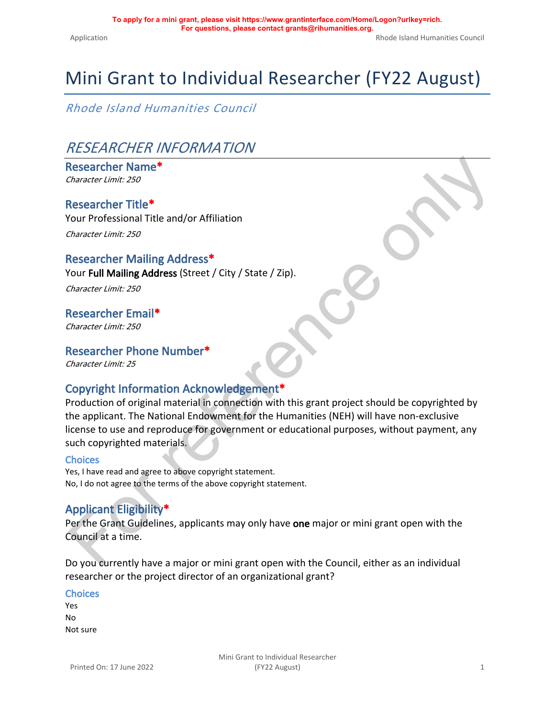# Mini Grant to Individual Researcher (FY22 August)

*Rhode Island Humanities Council*

### *RESEARCHER INFORMATION*

**Researcher Name\*** *Character Limit: 250*

#### **Researcher Title\***

Your Professional Title and/or Affiliation *Character Limit: 250*

#### **Researcher Mailing Address\***

Your **Full Mailing Address** (Street / City / State / Zip).

*Character Limit: 250*

#### **Researcher Email\*** *Character Limit: 250*

#### **Researcher Phone Number\***

*Character Limit: 25*

### **Copyright Information Acknowledgement\***

Researcher Name\*<br>
Researcher Trille\*<br>
Researcher Trille\*<br>
Researcher Trille\*<br>
Row Professional Title and/or Affiliation<br>
Cour Full Mailing Address Street / City / State / Zip).<br>
Researcher Email\*<br>
Chavacter Limit: 250<br>
Res Production of original material in connection with this grant project should be copyrighted by the applicant. The National Endowment for the Humanities (NEH) will have non-exclusive license to use and reproduce for government or educational purposes, without payment, any such copyrighted materials.

#### **Choices**

Yes, I have read and agree to above copyright statement. No, I do not agree to the terms of the above copyright statement.

### **Applicant Eligibility\***

Per the Grant Guidelines, applicants may only have **one** major or mini grant open with the Council at a time.

Do you currently have a major or mini grant open with the Council, either as an individual researcher or the project director of an organizational grant?

#### **Choices**

Yes No Not sure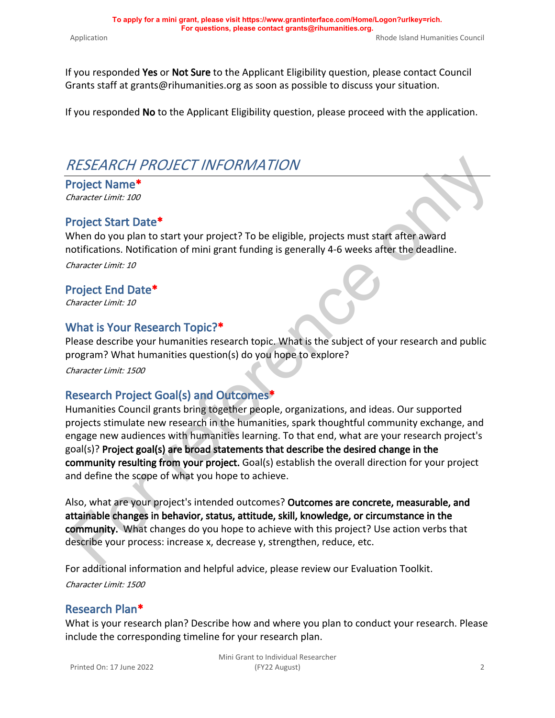If you responded **Yes** or **Not Sure** to the Applicant Eligibility question, please contact Council Grants staff at grants@rihumanities.org as soon as possible to discuss your situation.

If you responded **No** to the Applicant Eligibility question, please proceed with the application.

# *RESEARCH PROJECT INFORMATION*

**Project Name\*** *Character Limit: 100*

### **Project Start Date\***

When do you plan to start your project? To be eligible, projects must start after award notifications. Notification of mini grant funding is generally 4-6 weeks after the deadline. *Character Limit: 10*

#### **Project End Date\***

*Character Limit: 10*

### **What is Your Research Topic?\***

Please describe your humanities research topic. What is the subject of your research and public program? What humanities question(s) do you hope to explore?

*Character Limit: 1500*

### **Research Project Goal(s) and Outcomes\***

RESEARCH PROJECT INFORMATION<br>
"Project Name"<br>
"Another than the content was the strate of the strate of the strate and the strate and the strate and the strate and the strate and the strate and the strate and the strate an Humanities Council grants bring together people, organizations, and ideas. Our supported projects stimulate new research in the humanities, spark thoughtful community exchange, and engage new audiences with humanities learning. To that end, what are your research project's goal(s)? **Project goal(s) are broad statements that describe the desired change in the community resulting from your project.** Goal(s) establish the overall direction for your project and define the scope of what you hope to achieve.

Also, what are your project's intended outcomes? **Outcomes are concrete, measurable, and attainable changes in behavior, status, attitude, skill, knowledge, or circumstance in the community.** What changes do you hope to achieve with this project? Use action verbs that describe your process: increase x, decrease y, strengthen, reduce, etc.

For additional information and helpful advice, please review our [Evaluation Toolkit.](http://rihumanities.org/grants/grantmaking/) *Character Limit: 1500*

### **Research Plan\***

What is your research plan? Describe how and where you plan to conduct your research. Please include the corresponding timeline for your research plan.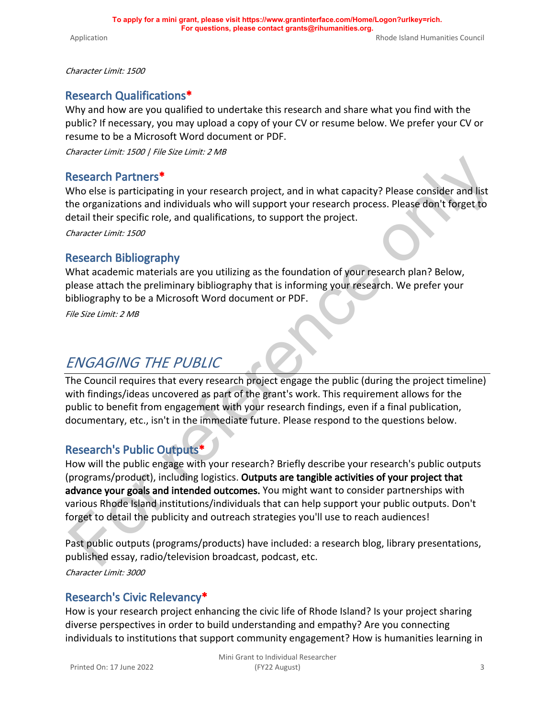*Character Limit: 1500*

#### **Research Qualifications\***

Why and how are you qualified to undertake this research and share what you find with the public? If necessary, you may upload a copy of your CV or resume below. We prefer your CV or resume to be a Microsoft Word document or PDF.

*Character Limit: 1500 | File Size Limit: 2 MB*

#### **Research Partners\***

Who else is participating in your research project, and in what capacity? Please consider and list the organizations and individuals who will support your research process. Please don't forget to detail their specific role, and qualifications, to support the project.

*Character Limit: 1500*

#### **Research Bibliography**

What academic materials are you utilizing as the foundation of your research plan? Below, please attach the preliminary bibliography that is informing your research. We prefer your bibliography to be a Microsoft Word document or PDF.

*File Size Limit: 2 MB*

### *ENGAGING THE PUBLIC*

The Council requires that every research project engage the public (during the project timeline) with findings/ideas uncovered as part of the grant's work. This requirement allows for the public to benefit from engagement with your research findings, even if a final publication, documentary, etc., isn't in the immediate future. Please respond to the questions below.

#### **Research's Public Outputs\***

Research Partners\*<br>
Nho else is participating in your research project, and in what capacity? Please consider and list<br>
the organizations and individuals who will support your research process. Please don't forget to<br>
the How will the public engage with your research? Briefly describe your research's public outputs (programs/product), including logistics. **Outputs are tangible activities of your project that advance your goals and intended outcomes.** You might want to consider partnerships with various Rhode Island institutions/individuals that can help support your public outputs. Don't forget to detail the publicity and outreach strategies you'll use to reach audiences!

Past public outputs (programs/products) have included: a research blog, library presentations, published essay, radio/television broadcast, podcast, etc.

*Character Limit: 3000*

#### **Research's Civic Relevancy\***

How is your research project enhancing the civic life of Rhode Island? Is your project sharing diverse perspectives in order to build understanding and empathy? Are you connecting individuals to institutions that support community engagement? How is humanities learning in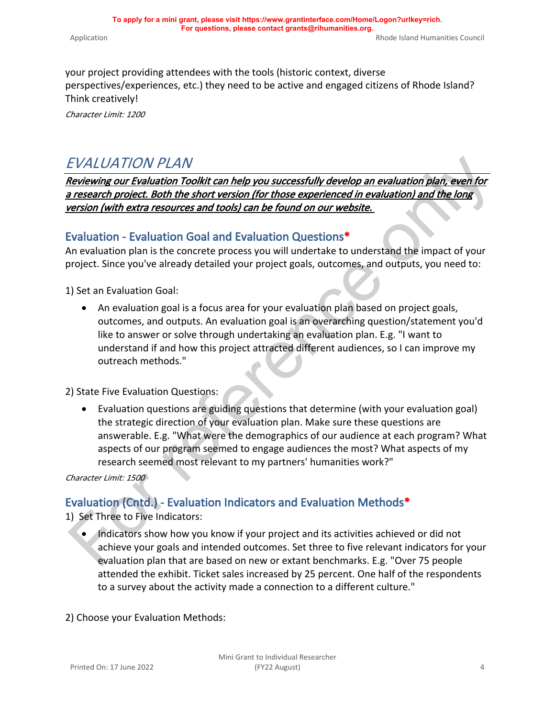your project providing attendees with the tools (historic context, diverse perspectives/experiences, etc.) they need to be active and engaged citizens of Rhode Island?

Think creatively! *Character Limit: 1200*

### *EVALUATION PLAN*

*Reviewing our Evaluation Toolkit can help you successfully develop an evaluation plan, even for a research project. Both the short version (for those experienced in evaluation) and the long version (with extra resources and tools) can be found on our website.* 

### **Evaluation - Evaluation Goal and Evaluation Questions\***

An evaluation plan is the concrete process you will undertake to understand the impact of your project. Since you've already detailed your project goals, outcomes, and outputs, you need to:

1) Set an Evaluation Goal:

 $EVALUATION PLAN$ <br>  $EVALUATION PLAN$ <br>  $Eexiveing our **Feustation** Toell. **Each the** is both the short version (for those experienced in evaluation) and the long  
\n*research project. Both the short version (for those experienced in evaluation) and the long  
\nversion (with extra resources and tools) can be found on our website.   
\nEvaluate,  $W$  is correct to be found on our website.   
\nEvaluate,  $W$  is a correct to be found in our website.   
\nEvaluate,  $W$  is a correct to be found in our website.   
\nEvaluate,  $W$  is a correct to be used to be used to  $W$ ,  $W$  is a correct value,  $W$  is a*$ • An evaluation goal is a focus area for your evaluation plan based on project goals, outcomes, and outputs. An evaluation goal is an overarching question/statement you'd like to answer or solve through undertaking an evaluation plan. E.g. "I want to understand if and how this project attracted different audiences, so I can improve my outreach methods."

2) State Five Evaluation Questions:

• Evaluation questions are guiding questions that determine (with your evaluation goal) the strategic direction of your evaluation plan. Make sure these questions are answerable. E.g. "What were the demographics of our audience at each program? What aspects of our program seemed to engage audiences the most? What aspects of my research seemed most relevant to my partners' humanities work?"

*Character Limit: 1500*

### **Evaluation (Cntd.) - Evaluation Indicators and Evaluation Methods\***

1) Set Three to Five Indicators:

• Indicators show how you know if your project and its activities achieved or did not achieve your goals and intended outcomes. Set three to five relevant indicators for your evaluation plan that are based on new or extant benchmarks. E.g. "Over 75 people attended the exhibit. Ticket sales increased by 25 percent. One half of the respondents to a survey about the activity made a connection to a different culture."

2) Choose your Evaluation Methods: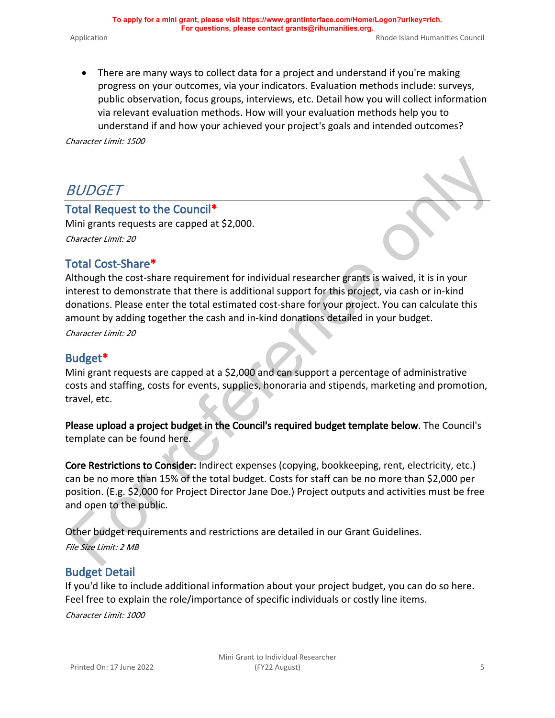• There are many ways to collect data for a project and understand if you're making progress on your outcomes, via your indicators. Evaluation methods include: surveys, public observation, focus groups, interviews, etc. Detail how you will collect information via relevant evaluation methods. How will your evaluation methods help you to understand if and how your achieved your project's goals and intended outcomes?

*Character Limit: 1500*

## *BUDGET*

### **Total Request to the Council\***

Mini grants requests are capped at \$2,000. *Character Limit: 20*

### **Total Cost-Share\***

BUDGET<br>
Including ants [re](https://rihumanities.org/wp-content/uploads/2020/02/Budget-Template-2020.xlsx)quests are capped at \$2,000.<br>
Mini grants requests are capped at \$2,000.<br>
The activity agents is wided, it is in your<br>
Including and the cost-share requirement for individual researcher grants is w Although the cost-share requirement for individual researcher grants is waived, it is in your interest to demonstrate that there is additional support for this project, via cash or in-kind donations. Please enter the total estimated cost-share for your project. You can calculate this amount by adding together the cash and in-kind donations detailed in your budget.

*Character Limit: 20*

#### **Budget\***

Mini grant requests are capped at a \$2,000 and can support a percentage of administrative costs and staffing, costs for events, supplies, honoraria and stipends, marketing and promotion, travel, etc.

**Please upload a project budget in the Council's required budget template below**. The Council's template can be found here.

**Core Restrictions to Consider:** Indirect expenses (copying, bookkeeping, rent, electricity, etc.) can be no more than 15% of the total budget. Costs for staff can be no more than \$2,000 per position. (E.g. \$2,000 for Project Director Jane Doe.) Project outputs and activities must be free and open to the public.

Other budget requirements and restrictions are detailed in our Grant Guidelines. *File Size Limit: 2 MB*

#### **Budget Detail**

If you'd like to include additional information about your project budget, you can do so here. Feel free to explain the role/importance of specific individuals or costly line items.

*Character Limit: 1000*